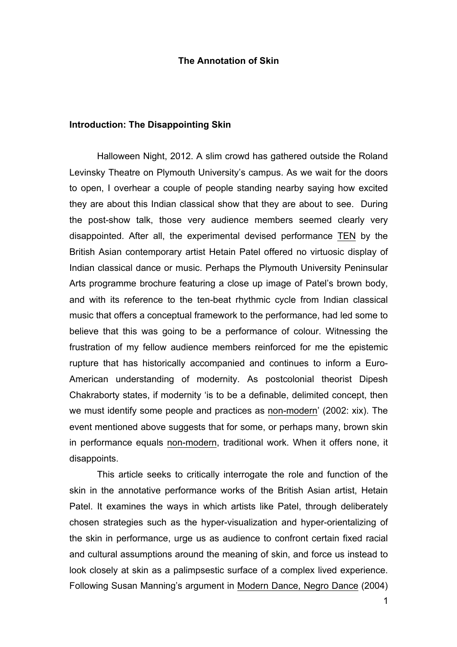## **The Annotation of Skin**

### **Introduction: The Disappointing Skin**

Halloween Night, 2012. A slim crowd has gathered outside the Roland Levinsky Theatre on Plymouth University's campus. As we wait for the doors to open, I overhear a couple of people standing nearby saying how excited they are about this Indian classical show that they are about to see. During the post-show talk, those very audience members seemed clearly very disappointed. After all, the experimental devised performance TEN by the British Asian contemporary artist Hetain Patel offered no virtuosic display of Indian classical dance or music. Perhaps the Plymouth University Peninsular Arts programme brochure featuring a close up image of Patel's brown body, and with its reference to the ten-beat rhythmic cycle from Indian classical music that offers a conceptual framework to the performance, had led some to believe that this was going to be a performance of colour. Witnessing the frustration of my fellow audience members reinforced for me the epistemic rupture that has historically accompanied and continues to inform a Euro-American understanding of modernity. As postcolonial theorist Dipesh Chakraborty states, if modernity 'is to be a definable, delimited concept, then we must identify some people and practices as non-modern' (2002: xix). The event mentioned above suggests that for some, or perhaps many, brown skin in performance equals non-modern, traditional work. When it offers none, it disappoints.

This article seeks to critically interrogate the role and function of the skin in the annotative performance works of the British Asian artist, Hetain Patel. It examines the ways in which artists like Patel, through deliberately chosen strategies such as the hyper-visualization and hyper-orientalizing of the skin in performance, urge us as audience to confront certain fixed racial and cultural assumptions around the meaning of skin, and force us instead to look closely at skin as a palimpsestic surface of a complex lived experience. Following Susan Manning's argument in Modern Dance, Negro Dance (2004)

1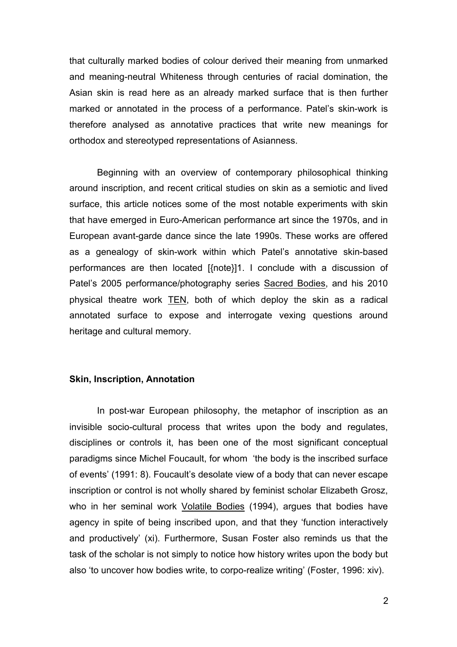that culturally marked bodies of colour derived their meaning from unmarked and meaning-neutral Whiteness through centuries of racial domination, the Asian skin is read here as an already marked surface that is then further marked or annotated in the process of a performance. Patel's skin-work is therefore analysed as annotative practices that write new meanings for orthodox and stereotyped representations of Asianness.

Beginning with an overview of contemporary philosophical thinking around inscription, and recent critical studies on skin as a semiotic and lived surface, this article notices some of the most notable experiments with skin that have emerged in Euro-American performance art since the 1970s, and in European avant-garde dance since the late 1990s. These works are offered as a genealogy of skin-work within which Patel's annotative skin-based performances are then located [{note}]1. I conclude with a discussion of Patel's 2005 performance/photography series Sacred Bodies, and his 2010 physical theatre work TEN, both of which deploy the skin as a radical annotated surface to expose and interrogate vexing questions around heritage and cultural memory.

### **Skin, Inscription, Annotation**

In post-war European philosophy, the metaphor of inscription as an invisible socio-cultural process that writes upon the body and regulates, disciplines or controls it, has been one of the most significant conceptual paradigms since Michel Foucault, for whom 'the body is the inscribed surface of events' (1991: 8). Foucault's desolate view of a body that can never escape inscription or control is not wholly shared by feminist scholar Elizabeth Grosz, who in her seminal work Volatile Bodies (1994), argues that bodies have agency in spite of being inscribed upon, and that they 'function interactively and productively' (xi). Furthermore, Susan Foster also reminds us that the task of the scholar is not simply to notice how history writes upon the body but also 'to uncover how bodies write, to corpo-realize writing' (Foster, 1996: xiv).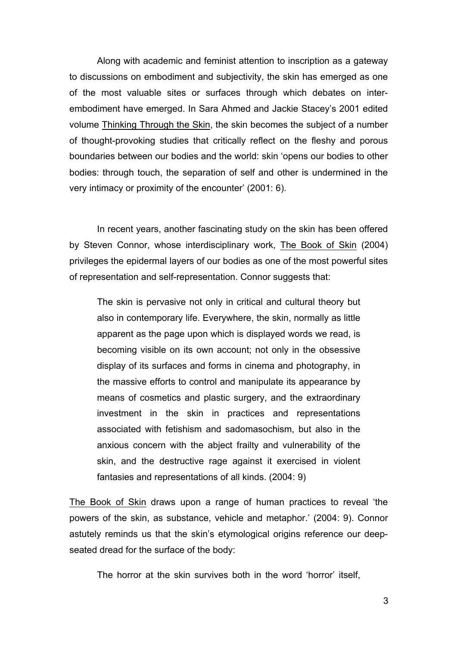Along with academic and feminist attention to inscription as a gateway to discussions on embodiment and subjectivity, the skin has emerged as one of the most valuable sites or surfaces through which debates on interembodiment have emerged. In Sara Ahmed and Jackie Stacey's 2001 edited volume Thinking Through the Skin, the skin becomes the subject of a number of thought-provoking studies that critically reflect on the fleshy and porous boundaries between our bodies and the world: skin 'opens our bodies to other bodies: through touch, the separation of self and other is undermined in the very intimacy or proximity of the encounter' (2001: 6).

In recent years, another fascinating study on the skin has been offered by Steven Connor, whose interdisciplinary work, The Book of Skin (2004) privileges the epidermal layers of our bodies as one of the most powerful sites of representation and self-representation. Connor suggests that:

The skin is pervasive not only in critical and cultural theory but also in contemporary life. Everywhere, the skin, normally as little apparent as the page upon which is displayed words we read, is becoming visible on its own account; not only in the obsessive display of its surfaces and forms in cinema and photography, in the massive efforts to control and manipulate its appearance by means of cosmetics and plastic surgery, and the extraordinary investment in the skin in practices and representations associated with fetishism and sadomasochism, but also in the anxious concern with the abject frailty and vulnerability of the skin, and the destructive rage against it exercised in violent fantasies and representations of all kinds. (2004: 9)

The Book of Skin draws upon a range of human practices to reveal 'the powers of the skin, as substance, vehicle and metaphor.' (2004: 9). Connor astutely reminds us that the skin's etymological origins reference our deepseated dread for the surface of the body:

The horror at the skin survives both in the word 'horror' itself,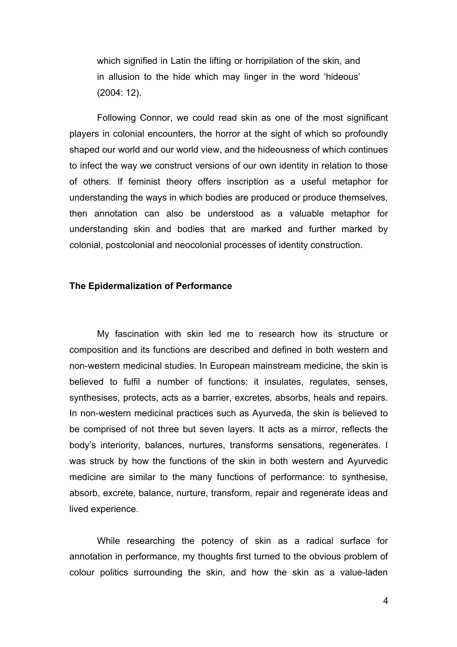which signified in Latin the lifting or horripilation of the skin, and in allusion to the hide which may linger in the word 'hideous' (2004: 12).

Following Connor, we could read skin as one of the most significant players in colonial encounters, the horror at the sight of which so profoundly shaped our world and our world view, and the hideousness of which continues to infect the way we construct versions of our own identity in relation to those of others. If feminist theory offers inscription as a useful metaphor for understanding the ways in which bodies are produced or produce themselves, then annotation can also be understood as a valuable metaphor for understanding skin and bodies that are marked and further marked by colonial, postcolonial and neocolonial processes of identity construction.

## **The Epidermalization of Performance**

My fascination with skin led me to research how its structure or composition and its functions are described and defined in both western and non-western medicinal studies. In European mainstream medicine, the skin is believed to fulfil a number of functions: it insulates, regulates, senses, synthesises, protects, acts as a barrier, excretes, absorbs, heals and repairs. In non-western medicinal practices such as Ayurveda, the skin is believed to be comprised of not three but seven layers. It acts as a mirror, reflects the body's interiority, balances, nurtures, transforms sensations, regenerates. I was struck by how the functions of the skin in both western and Ayurvedic medicine are similar to the many functions of performance: to synthesise, absorb, excrete, balance, nurture, transform, repair and regenerate ideas and lived experience.

While researching the potency of skin as a radical surface for annotation in performance, my thoughts first turned to the obvious problem of colour politics surrounding the skin, and how the skin as a value-laden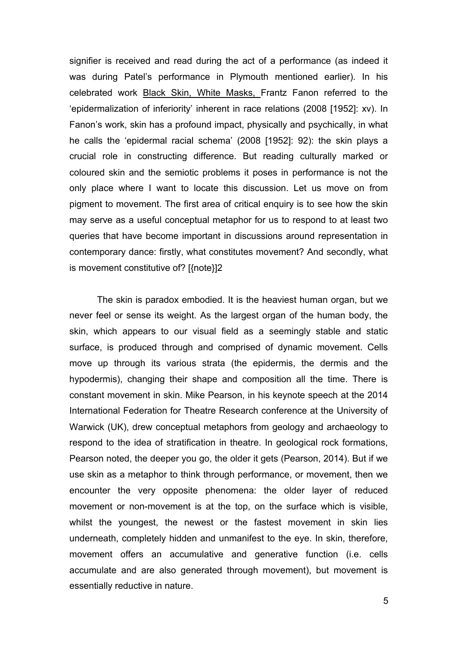signifier is received and read during the act of a performance (as indeed it was during Patel's performance in Plymouth mentioned earlier). In his celebrated work Black Skin, White Masks, Frantz Fanon referred to the 'epidermalization of inferiority' inherent in race relations (2008 [1952]: xv). In Fanon's work, skin has a profound impact, physically and psychically, in what he calls the 'epidermal racial schema' (2008 [1952]: 92): the skin plays a crucial role in constructing difference. But reading culturally marked or coloured skin and the semiotic problems it poses in performance is not the only place where I want to locate this discussion. Let us move on from pigment to movement. The first area of critical enquiry is to see how the skin may serve as a useful conceptual metaphor for us to respond to at least two queries that have become important in discussions around representation in contemporary dance: firstly, what constitutes movement? And secondly, what is movement constitutive of? [{note}]2

The skin is paradox embodied. It is the heaviest human organ, but we never feel or sense its weight. As the largest organ of the human body, the skin, which appears to our visual field as a seemingly stable and static surface, is produced through and comprised of dynamic movement. Cells move up through its various strata (the epidermis, the dermis and the hypodermis), changing their shape and composition all the time. There is constant movement in skin. Mike Pearson, in his keynote speech at the 2014 International Federation for Theatre Research conference at the University of Warwick (UK), drew conceptual metaphors from geology and archaeology to respond to the idea of stratification in theatre. In geological rock formations, Pearson noted, the deeper you go, the older it gets (Pearson, 2014). But if we use skin as a metaphor to think through performance, or movement, then we encounter the very opposite phenomena: the older layer of reduced movement or non-movement is at the top, on the surface which is visible, whilst the youngest, the newest or the fastest movement in skin lies underneath, completely hidden and unmanifest to the eye. In skin, therefore, movement offers an accumulative and generative function (i.e. cells accumulate and are also generated through movement), but movement is essentially reductive in nature.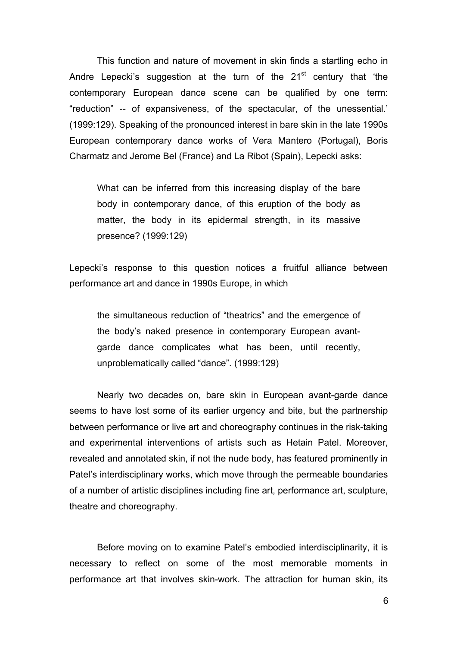This function and nature of movement in skin finds a startling echo in Andre Lepecki's suggestion at the turn of the  $21<sup>st</sup>$  century that 'the contemporary European dance scene can be qualified by one term: "reduction" -- of expansiveness, of the spectacular, of the unessential.' (1999:129). Speaking of the pronounced interest in bare skin in the late 1990s European contemporary dance works of Vera Mantero (Portugal), Boris Charmatz and Jerome Bel (France) and La Ribot (Spain), Lepecki asks:

What can be inferred from this increasing display of the bare body in contemporary dance, of this eruption of the body as matter, the body in its epidermal strength, in its massive presence? (1999:129)

Lepecki's response to this question notices a fruitful alliance between performance art and dance in 1990s Europe, in which

the simultaneous reduction of "theatrics" and the emergence of the body's naked presence in contemporary European avantgarde dance complicates what has been, until recently, unproblematically called "dance". (1999:129)

Nearly two decades on, bare skin in European avant-garde dance seems to have lost some of its earlier urgency and bite, but the partnership between performance or live art and choreography continues in the risk-taking and experimental interventions of artists such as Hetain Patel. Moreover, revealed and annotated skin, if not the nude body, has featured prominently in Patel's interdisciplinary works, which move through the permeable boundaries of a number of artistic disciplines including fine art, performance art, sculpture, theatre and choreography.

Before moving on to examine Patel's embodied interdisciplinarity, it is necessary to reflect on some of the most memorable moments in performance art that involves skin-work. The attraction for human skin, its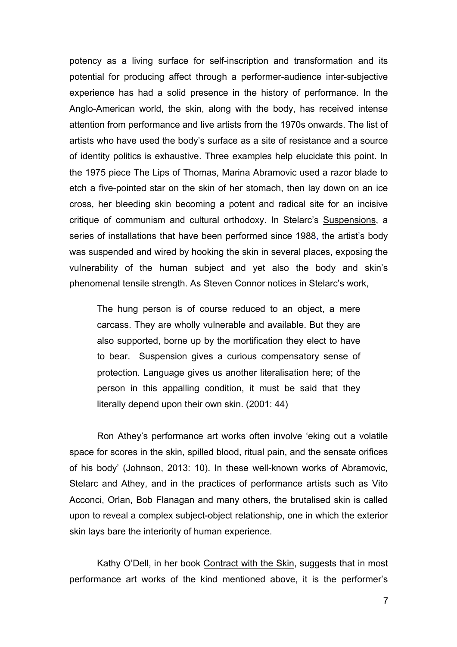potency as a living surface for self-inscription and transformation and its potential for producing affect through a performer-audience inter-subjective experience has had a solid presence in the history of performance. In the Anglo-American world, the skin, along with the body, has received intense attention from performance and live artists from the 1970s onwards. The list of artists who have used the body's surface as a site of resistance and a source of identity politics is exhaustive. Three examples help elucidate this point. In the 1975 piece The Lips of Thomas, Marina Abramovic used a razor blade to etch a five-pointed star on the skin of her stomach, then lay down on an ice cross, her bleeding skin becoming a potent and radical site for an incisive critique of communism and cultural orthodoxy. In Stelarc's Suspensions, a series of installations that have been performed since 1988, the artist's body was suspended and wired by hooking the skin in several places, exposing the vulnerability of the human subject and yet also the body and skin's phenomenal tensile strength. As Steven Connor notices in Stelarc's work,

The hung person is of course reduced to an object, a mere carcass. They are wholly vulnerable and available. But they are also supported, borne up by the mortification they elect to have to bear. Suspension gives a curious compensatory sense of protection. Language gives us another literalisation here; of the person in this appalling condition, it must be said that they literally depend upon their own skin. (2001: 44)

Ron Athey's performance art works often involve 'eking out a volatile space for scores in the skin, spilled blood, ritual pain, and the sensate orifices of his body' (Johnson, 2013: 10). In these well-known works of Abramovic, Stelarc and Athey, and in the practices of performance artists such as Vito Acconci, Orlan, Bob Flanagan and many others, the brutalised skin is called upon to reveal a complex subject-object relationship, one in which the exterior skin lays bare the interiority of human experience.

Kathy O'Dell, in her book Contract with the Skin, suggests that in most performance art works of the kind mentioned above, it is the performer's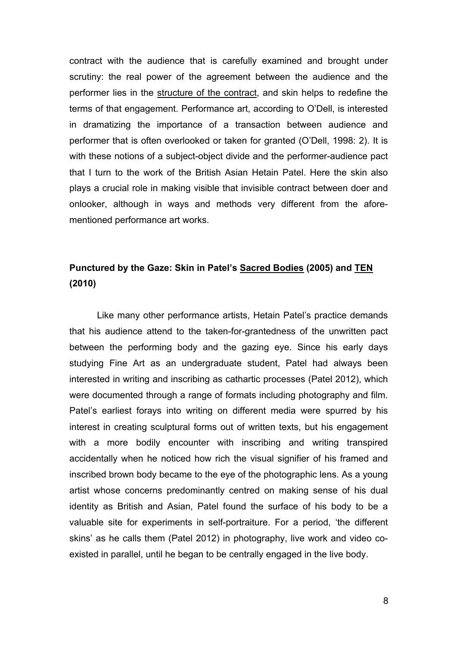contract with the audience that is carefully examined and brought under scrutiny: the real power of the agreement between the audience and the performer lies in the structure of the contract, and skin helps to redefine the terms of that engagement. Performance art, according to O'Dell, is interested in dramatizing the importance of a transaction between audience and performer that is often overlooked or taken for granted (O'Dell, 1998: 2). It is with these notions of a subject-object divide and the performer-audience pact that I turn to the work of the British Asian Hetain Patel. Here the skin also plays a crucial role in making visible that invisible contract between doer and onlooker, although in ways and methods very different from the aforementioned performance art works.

# **Punctured by the Gaze: Skin in Patel's Sacred Bodies (2005) and TEN (2010)**

Like many other performance artists, Hetain Patel's practice demands that his audience attend to the taken-for-grantedness of the unwritten pact between the performing body and the gazing eye. Since his early days studying Fine Art as an undergraduate student, Patel had always been interested in writing and inscribing as cathartic processes (Patel 2012), which were documented through a range of formats including photography and film. Patel's earliest forays into writing on different media were spurred by his interest in creating sculptural forms out of written texts, but his engagement with a more bodily encounter with inscribing and writing transpired accidentally when he noticed how rich the visual signifier of his framed and inscribed brown body became to the eye of the photographic lens. As a young artist whose concerns predominantly centred on making sense of his dual identity as British and Asian, Patel found the surface of his body to be a valuable site for experiments in self-portraiture. For a period, 'the different skins' as he calls them (Patel 2012) in photography, live work and video coexisted in parallel, until he began to be centrally engaged in the live body.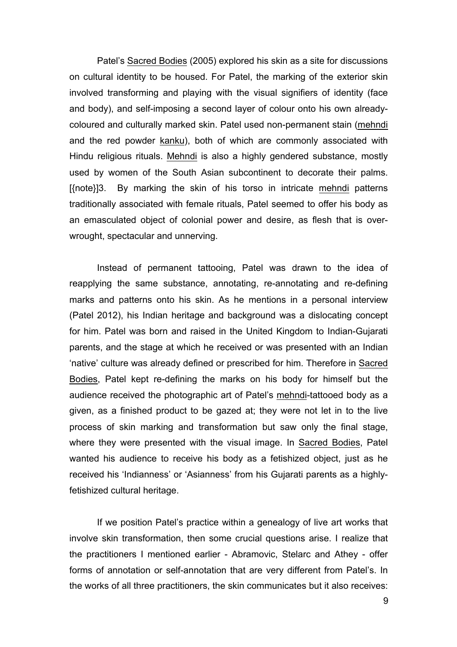Patel's Sacred Bodies (2005) explored his skin as a site for discussions on cultural identity to be housed. For Patel, the marking of the exterior skin involved transforming and playing with the visual signifiers of identity (face and body), and self-imposing a second layer of colour onto his own alreadycoloured and culturally marked skin. Patel used non-permanent stain (mehndi and the red powder kanku), both of which are commonly associated with Hindu religious rituals. Mehndi is also a highly gendered substance, mostly used by women of the South Asian subcontinent to decorate their palms. [{note}]3. By marking the skin of his torso in intricate mehndi patterns traditionally associated with female rituals, Patel seemed to offer his body as an emasculated object of colonial power and desire, as flesh that is overwrought, spectacular and unnerving.

Instead of permanent tattooing, Patel was drawn to the idea of reapplying the same substance, annotating, re-annotating and re-defining marks and patterns onto his skin. As he mentions in a personal interview (Patel 2012), his Indian heritage and background was a dislocating concept for him. Patel was born and raised in the United Kingdom to Indian-Gujarati parents, and the stage at which he received or was presented with an Indian 'native' culture was already defined or prescribed for him. Therefore in Sacred Bodies, Patel kept re-defining the marks on his body for himself but the audience received the photographic art of Patel's mehndi-tattooed body as a given, as a finished product to be gazed at; they were not let in to the live process of skin marking and transformation but saw only the final stage, where they were presented with the visual image. In Sacred Bodies, Patel wanted his audience to receive his body as a fetishized object, just as he received his 'Indianness' or 'Asianness' from his Gujarati parents as a highlyfetishized cultural heritage.

If we position Patel's practice within a genealogy of live art works that involve skin transformation, then some crucial questions arise. I realize that the practitioners I mentioned earlier - Abramovic, Stelarc and Athey - offer forms of annotation or self-annotation that are very different from Patel's. In the works of all three practitioners, the skin communicates but it also receives: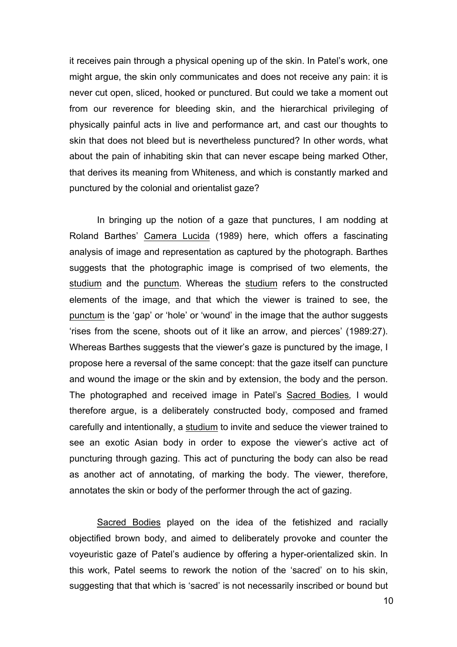it receives pain through a physical opening up of the skin. In Patel's work, one might argue, the skin only communicates and does not receive any pain: it is never cut open, sliced, hooked or punctured. But could we take a moment out from our reverence for bleeding skin, and the hierarchical privileging of physically painful acts in live and performance art, and cast our thoughts to skin that does not bleed but is nevertheless punctured? In other words, what about the pain of inhabiting skin that can never escape being marked Other, that derives its meaning from Whiteness, and which is constantly marked and punctured by the colonial and orientalist gaze?

In bringing up the notion of a gaze that punctures, I am nodding at Roland Barthes' Camera Lucida (1989) here, which offers a fascinating analysis of image and representation as captured by the photograph. Barthes suggests that the photographic image is comprised of two elements, the studium and the punctum. Whereas the studium refers to the constructed elements of the image, and that which the viewer is trained to see, the punctum is the 'gap' or 'hole' or 'wound' in the image that the author suggests 'rises from the scene, shoots out of it like an arrow, and pierces' (1989:27). Whereas Barthes suggests that the viewer's gaze is punctured by the image, I propose here a reversal of the same concept: that the gaze itself can puncture and wound the image or the skin and by extension, the body and the person. The photographed and received image in Patel's Sacred Bodies*,* I would therefore argue, is a deliberately constructed body, composed and framed carefully and intentionally, a studium to invite and seduce the viewer trained to see an exotic Asian body in order to expose the viewer's active act of puncturing through gazing. This act of puncturing the body can also be read as another act of annotating, of marking the body. The viewer, therefore, annotates the skin or body of the performer through the act of gazing.

Sacred Bodies played on the idea of the fetishized and racially objectified brown body, and aimed to deliberately provoke and counter the voyeuristic gaze of Patel's audience by offering a hyper-orientalized skin. In this work, Patel seems to rework the notion of the 'sacred' on to his skin, suggesting that that which is 'sacred' is not necessarily inscribed or bound but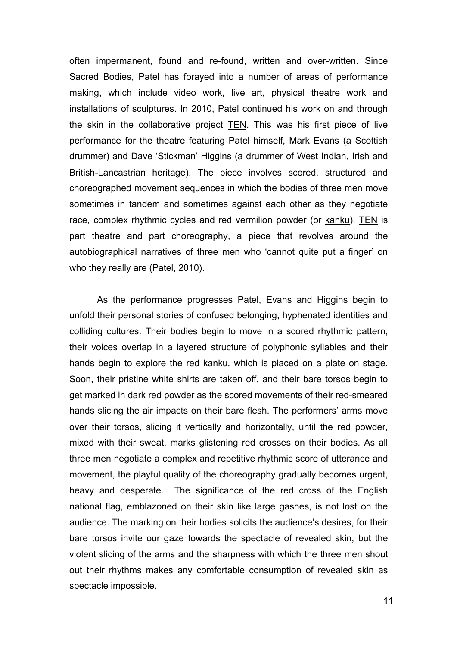often impermanent, found and re-found, written and over-written. Since Sacred Bodies, Patel has forayed into a number of areas of performance making, which include video work, live art, physical theatre work and installations of sculptures. In 2010, Patel continued his work on and through the skin in the collaborative project TEN. This was his first piece of live performance for the theatre featuring Patel himself, Mark Evans (a Scottish drummer) and Dave 'Stickman' Higgins (a drummer of West Indian, Irish and British-Lancastrian heritage). The piece involves scored, structured and choreographed movement sequences in which the bodies of three men move sometimes in tandem and sometimes against each other as they negotiate race, complex rhythmic cycles and red vermilion powder (or kanku). TEN is part theatre and part choreography, a piece that revolves around the autobiographical narratives of three men who 'cannot quite put a finger' on who they really are (Patel, 2010).

As the performance progresses Patel, Evans and Higgins begin to unfold their personal stories of confused belonging, hyphenated identities and colliding cultures. Their bodies begin to move in a scored rhythmic pattern, their voices overlap in a layered structure of polyphonic syllables and their hands begin to explore the red kanku*,* which is placed on a plate on stage. Soon, their pristine white shirts are taken off, and their bare torsos begin to get marked in dark red powder as the scored movements of their red-smeared hands slicing the air impacts on their bare flesh. The performers' arms move over their torsos, slicing it vertically and horizontally, until the red powder, mixed with their sweat, marks glistening red crosses on their bodies. As all three men negotiate a complex and repetitive rhythmic score of utterance and movement, the playful quality of the choreography gradually becomes urgent, heavy and desperate. The significance of the red cross of the English national flag, emblazoned on their skin like large gashes, is not lost on the audience. The marking on their bodies solicits the audience's desires, for their bare torsos invite our gaze towards the spectacle of revealed skin, but the violent slicing of the arms and the sharpness with which the three men shout out their rhythms makes any comfortable consumption of revealed skin as spectacle impossible.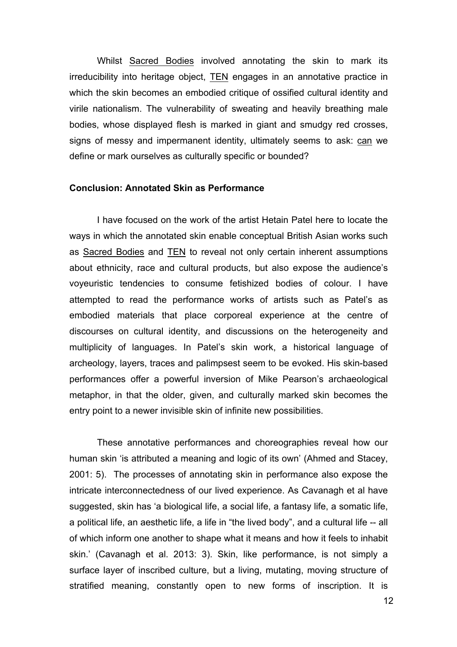Whilst Sacred Bodies involved annotating the skin to mark its irreducibility into heritage object, TEN engages in an annotative practice in which the skin becomes an embodied critique of ossified cultural identity and virile nationalism. The vulnerability of sweating and heavily breathing male bodies, whose displayed flesh is marked in giant and smudgy red crosses, signs of messy and impermanent identity, ultimately seems to ask: can we define or mark ourselves as culturally specific or bounded?

### **Conclusion: Annotated Skin as Performance**

I have focused on the work of the artist Hetain Patel here to locate the ways in which the annotated skin enable conceptual British Asian works such as Sacred Bodies and TEN to reveal not only certain inherent assumptions about ethnicity, race and cultural products, but also expose the audience's voyeuristic tendencies to consume fetishized bodies of colour. I have attempted to read the performance works of artists such as Patel's as embodied materials that place corporeal experience at the centre of discourses on cultural identity, and discussions on the heterogeneity and multiplicity of languages. In Patel's skin work, a historical language of archeology, layers, traces and palimpsest seem to be evoked. His skin-based performances offer a powerful inversion of Mike Pearson's archaeological metaphor, in that the older, given, and culturally marked skin becomes the entry point to a newer invisible skin of infinite new possibilities.

These annotative performances and choreographies reveal how our human skin 'is attributed a meaning and logic of its own' (Ahmed and Stacey, 2001: 5). The processes of annotating skin in performance also expose the intricate interconnectedness of our lived experience. As Cavanagh et al have suggested, skin has 'a biological life, a social life, a fantasy life, a somatic life, a political life, an aesthetic life, a life in "the lived body", and a cultural life -- all of which inform one another to shape what it means and how it feels to inhabit skin.' (Cavanagh et al. 2013: 3). Skin, like performance, is not simply a surface layer of inscribed culture, but a living, mutating, moving structure of stratified meaning, constantly open to new forms of inscription. It is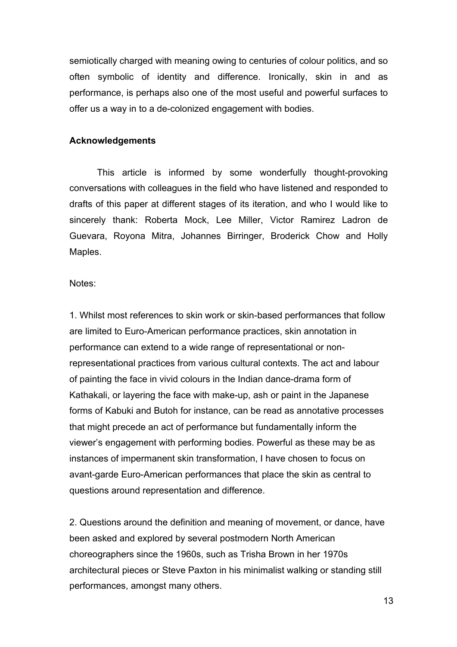semiotically charged with meaning owing to centuries of colour politics, and so often symbolic of identity and difference. Ironically, skin in and as performance, is perhaps also one of the most useful and powerful surfaces to offer us a way in to a de-colonized engagement with bodies.

### **Acknowledgements**

This article is informed by some wonderfully thought-provoking conversations with colleagues in the field who have listened and responded to drafts of this paper at different stages of its iteration, and who I would like to sincerely thank: Roberta Mock, Lee Miller, Victor Ramirez Ladron de Guevara, Royona Mitra, Johannes Birringer, Broderick Chow and Holly Maples.

# Notes:

1. Whilst most references to skin work or skin-based performances that follow are limited to Euro-American performance practices, skin annotation in performance can extend to a wide range of representational or nonrepresentational practices from various cultural contexts. The act and labour of painting the face in vivid colours in the Indian dance-drama form of Kathakali, or layering the face with make-up, ash or paint in the Japanese forms of Kabuki and Butoh for instance, can be read as annotative processes that might precede an act of performance but fundamentally inform the viewer's engagement with performing bodies. Powerful as these may be as instances of impermanent skin transformation, I have chosen to focus on avant-garde Euro-American performances that place the skin as central to questions around representation and difference.

2. Questions around the definition and meaning of movement, or dance, have been asked and explored by several postmodern North American choreographers since the 1960s, such as Trisha Brown in her 1970s architectural pieces or Steve Paxton in his minimalist walking or standing still performances, amongst many others.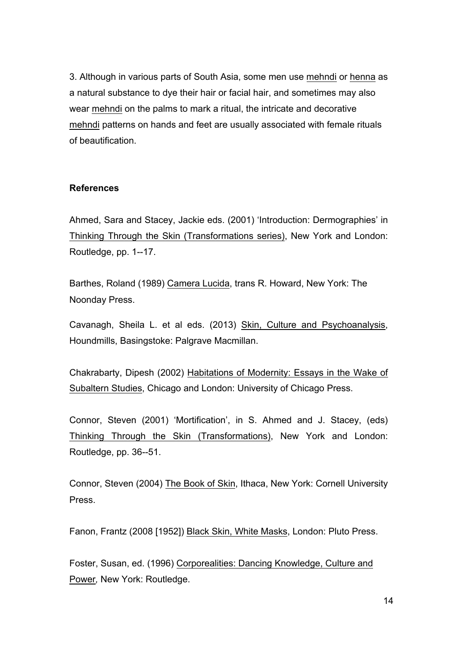3. Although in various parts of South Asia, some men use mehndi or henna as a natural substance to dye their hair or facial hair, and sometimes may also wear mehndi on the palms to mark a ritual, the intricate and decorative mehndi patterns on hands and feet are usually associated with female rituals of beautification.

# **References**

Ahmed, Sara and Stacey, Jackie eds. (2001) 'Introduction: Dermographies' in Thinking Through the Skin (Transformations series), New York and London: Routledge, pp. 1--17.

Barthes, Roland (1989) Camera Lucida, trans R. Howard, New York: The Noonday Press.

Cavanagh, Sheila L. et al eds. (2013) Skin, Culture and Psychoanalysis, Houndmills, Basingstoke: Palgrave Macmillan.

Chakrabarty, Dipesh (2002) Habitations of Modernity: Essays in the Wake of Subaltern Studies, Chicago and London: University of Chicago Press.

Connor, Steven (2001) 'Mortification', in S. Ahmed and J. Stacey, (eds) Thinking Through the Skin (Transformations), New York and London: Routledge, pp. 36--51.

Connor, Steven (2004) The Book of Skin, Ithaca, New York: Cornell University Press.

Fanon, Frantz (2008 [1952]) Black Skin, White Masks, London: Pluto Press.

Foster, Susan, ed. (1996) Corporealities: Dancing Knowledge, Culture and Power*,* New York: Routledge.